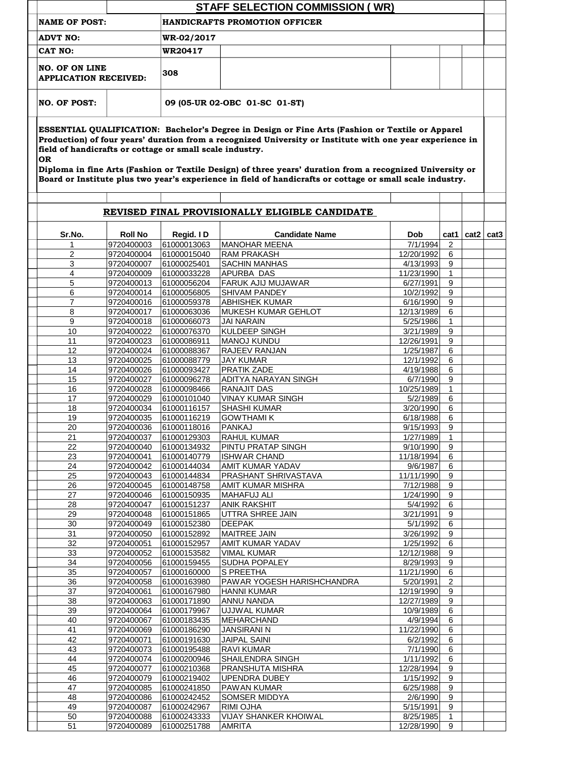| <b>STAFF SELECTION COMMISSION (WR)</b>                                                                                                                                                                                                                                                                                                                                                                                                                                                                           |                          |                               |                                                 |                         |                |               |  |  |  |  |  |  |  |
|------------------------------------------------------------------------------------------------------------------------------------------------------------------------------------------------------------------------------------------------------------------------------------------------------------------------------------------------------------------------------------------------------------------------------------------------------------------------------------------------------------------|--------------------------|-------------------------------|-------------------------------------------------|-------------------------|----------------|---------------|--|--|--|--|--|--|--|
| NAME OF POST:                                                                                                                                                                                                                                                                                                                                                                                                                                                                                                    |                          |                               | <b>HANDICRAFTS PROMOTION OFFICER</b>            |                         |                |               |  |  |  |  |  |  |  |
| <b>ADVT NO:</b>                                                                                                                                                                                                                                                                                                                                                                                                                                                                                                  |                          | WR-02/2017                    |                                                 |                         |                |               |  |  |  |  |  |  |  |
| <b>CAT NO:</b>                                                                                                                                                                                                                                                                                                                                                                                                                                                                                                   |                          | WR20417                       |                                                 |                         |                |               |  |  |  |  |  |  |  |
|                                                                                                                                                                                                                                                                                                                                                                                                                                                                                                                  |                          |                               |                                                 |                         |                |               |  |  |  |  |  |  |  |
| NO. OF ON LINE<br><b>APPLICATION RECEIVED:</b>                                                                                                                                                                                                                                                                                                                                                                                                                                                                   |                          | 308                           |                                                 |                         |                |               |  |  |  |  |  |  |  |
| NO. OF POST:                                                                                                                                                                                                                                                                                                                                                                                                                                                                                                     |                          | 09 (05-UR 02-OBC 01-SC 01-ST) |                                                 |                         |                |               |  |  |  |  |  |  |  |
| ESSENTIAL QUALIFICATION: Bachelor's Degree in Design or Fine Arts (Fashion or Textile or Apparel<br>Production) of four years' duration from a recognized University or Institute with one year experience in<br>field of handicrafts or cottage or small scale industry.<br><b>OR</b><br>Diploma in fine Arts (Fashion or Textile Design) of three years' duration from a recognized University or<br>Board or Institute plus two year's experience in field of handicrafts or cottage or small scale industry. |                          |                               |                                                 |                         |                |               |  |  |  |  |  |  |  |
|                                                                                                                                                                                                                                                                                                                                                                                                                                                                                                                  |                          |                               | REVISED FINAL PROVISIONALLY ELIGIBLE CANDIDATE  |                         |                |               |  |  |  |  |  |  |  |
| Sr.No.                                                                                                                                                                                                                                                                                                                                                                                                                                                                                                           | <b>Roll No</b>           | Regid. ID                     | <b>Candidate Name</b>                           | <b>Dob</b>              | cat1           | cat2 $ $ cat3 |  |  |  |  |  |  |  |
|                                                                                                                                                                                                                                                                                                                                                                                                                                                                                                                  | 9720400003               | 61000013063                   | <b>MANOHAR MEENA</b>                            | 7/1/1994                | 2              |               |  |  |  |  |  |  |  |
| $\overline{2}$<br>3                                                                                                                                                                                                                                                                                                                                                                                                                                                                                              | 9720400004<br>9720400007 | 61000015040<br>61000025401    | <b>RAM PRAKASH</b><br><b>SACHIN MANHAS</b>      | 12/20/1992<br>4/13/1993 | 6<br>9         |               |  |  |  |  |  |  |  |
| 4                                                                                                                                                                                                                                                                                                                                                                                                                                                                                                                | 9720400009               | 61000033228                   | <b>APURBA DAS</b>                               | 11/23/1990              | $\mathbf 1$    |               |  |  |  |  |  |  |  |
| 5                                                                                                                                                                                                                                                                                                                                                                                                                                                                                                                | 9720400013               | 61000056204                   | <b>FARUK AJIJ MUJAWAR</b>                       | 6/27/1991               | 9              |               |  |  |  |  |  |  |  |
| 6                                                                                                                                                                                                                                                                                                                                                                                                                                                                                                                | 9720400014               | 61000056805                   | <b>SHIVAM PANDEY</b>                            | 10/2/1992               | 9              |               |  |  |  |  |  |  |  |
|                                                                                                                                                                                                                                                                                                                                                                                                                                                                                                                  | 9720400016               | 61000059378                   | <b>ABHISHEK KUMAR</b>                           | 6/16/1990               | 9              |               |  |  |  |  |  |  |  |
| 8                                                                                                                                                                                                                                                                                                                                                                                                                                                                                                                | 9720400017               | 61000063036                   | MUKESH KUMAR GEHLOT                             | 12/13/1989              | 6              |               |  |  |  |  |  |  |  |
| 9                                                                                                                                                                                                                                                                                                                                                                                                                                                                                                                | 9720400018               | 61000066073                   | <b>JAI NARAIN</b>                               | 5/25/1986               |                |               |  |  |  |  |  |  |  |
| 10                                                                                                                                                                                                                                                                                                                                                                                                                                                                                                               | 9720400022               | 61000076370                   | KULDEEP SINGH                                   | 3/21/1989               | 9              |               |  |  |  |  |  |  |  |
| 11                                                                                                                                                                                                                                                                                                                                                                                                                                                                                                               | 9720400023               | 61000086911                   | <b>MANOJ KUNDU</b>                              | 12/26/1991              | 9              |               |  |  |  |  |  |  |  |
| 12                                                                                                                                                                                                                                                                                                                                                                                                                                                                                                               | 9720400024               | 61000088367                   | <b>RAJEEV RANJAN</b>                            | 1/25/1987               | 6              |               |  |  |  |  |  |  |  |
| 13                                                                                                                                                                                                                                                                                                                                                                                                                                                                                                               | 9720400025               | 61000088779                   | <b>JAY KUMAR</b>                                | 12/1/1992               | 6              |               |  |  |  |  |  |  |  |
| 14                                                                                                                                                                                                                                                                                                                                                                                                                                                                                                               | 9720400026               | 61000093427                   | <b>PRATIK ZADE</b>                              | 4/19/1988               | 6              |               |  |  |  |  |  |  |  |
| 15                                                                                                                                                                                                                                                                                                                                                                                                                                                                                                               | 9720400027               | 61000096278                   | <b>ADITYA NARAYAN SINGH</b>                     | 6/7/1990                | 9              |               |  |  |  |  |  |  |  |
| 16                                                                                                                                                                                                                                                                                                                                                                                                                                                                                                               | 9720400028               | 61000098466                   | <b>RANAJIT DAS</b>                              | 10/25/1989              |                |               |  |  |  |  |  |  |  |
| 17                                                                                                                                                                                                                                                                                                                                                                                                                                                                                                               | 9720400029               | 61000101040                   | <b>VINAY KUMAR SINGH</b>                        | 5/2/1989                | 6              |               |  |  |  |  |  |  |  |
| 18                                                                                                                                                                                                                                                                                                                                                                                                                                                                                                               | 9720400034               | 61000116157                   | <b>SHASHI KUMAR</b>                             | 3/20/1990               | 6              |               |  |  |  |  |  |  |  |
| 19                                                                                                                                                                                                                                                                                                                                                                                                                                                                                                               | 9720400035               | 61000116219                   | <b>GOWTHAMI K</b>                               | 6/18/1988               | 6              |               |  |  |  |  |  |  |  |
| 20                                                                                                                                                                                                                                                                                                                                                                                                                                                                                                               | 9720400036               | 61000118016                   | <b>PANKAJ</b>                                   | 9/15/1993               | 9              |               |  |  |  |  |  |  |  |
| 21                                                                                                                                                                                                                                                                                                                                                                                                                                                                                                               | 9720400037               | 61000129303                   | <b>RAHUL KUMAR</b>                              | 1/27/1989               |                |               |  |  |  |  |  |  |  |
| 22                                                                                                                                                                                                                                                                                                                                                                                                                                                                                                               | 9720400040               | 61000134932                   | <b>PINTU PRATAP SINGH</b>                       | 9/10/1990               | 9              |               |  |  |  |  |  |  |  |
| 23                                                                                                                                                                                                                                                                                                                                                                                                                                                                                                               | 9720400041               | 61000140779                   | <b>ISHWAR CHAND</b>                             | 11/18/1994              | 6              |               |  |  |  |  |  |  |  |
| 24<br>25                                                                                                                                                                                                                                                                                                                                                                                                                                                                                                         | 9720400042               | 61000144034                   | <b>AMIT KUMAR YADAV</b><br>PRASHANT SHRIVASTAVA | 9/6/1987                | 6<br>9         |               |  |  |  |  |  |  |  |
| 26                                                                                                                                                                                                                                                                                                                                                                                                                                                                                                               | 9720400043<br>9720400045 | 61000144834<br>61000148758    | <b>AMIT KUMAR MISHRA</b>                        | 11/11/1990<br>7/12/1988 | 9              |               |  |  |  |  |  |  |  |
| 27                                                                                                                                                                                                                                                                                                                                                                                                                                                                                                               | 9720400046               | 61000150935                   | <b>MAHAFUJ ALI</b>                              | 1/24/1990               | 9              |               |  |  |  |  |  |  |  |
| 28                                                                                                                                                                                                                                                                                                                                                                                                                                                                                                               | 9720400047               | 61000151237                   | <b>ANIK RAKSHIT</b>                             | 5/4/1992                | 6              |               |  |  |  |  |  |  |  |
| 29                                                                                                                                                                                                                                                                                                                                                                                                                                                                                                               | 9720400048               | 61000151865                   | <b>UTTRA SHREE JAIN</b>                         | 3/21/1991               | 9              |               |  |  |  |  |  |  |  |
| 30                                                                                                                                                                                                                                                                                                                                                                                                                                                                                                               | 9720400049               | 61000152380                   | <b>DEEPAK</b>                                   | 5/1/1992                | 6              |               |  |  |  |  |  |  |  |
| 31                                                                                                                                                                                                                                                                                                                                                                                                                                                                                                               | 9720400050               | 61000152892                   | <b>MAITREE JAIN</b>                             | 3/26/1992               | 9              |               |  |  |  |  |  |  |  |
| 32                                                                                                                                                                                                                                                                                                                                                                                                                                                                                                               | 9720400051               | 61000152957                   | <b>AMIT KUMAR YADAV</b>                         | 1/25/1992               | 6              |               |  |  |  |  |  |  |  |
| 33                                                                                                                                                                                                                                                                                                                                                                                                                                                                                                               | 9720400052               | 61000153582                   | <b>VIMAL KUMAR</b>                              | 12/12/1988              | 9              |               |  |  |  |  |  |  |  |
| 34                                                                                                                                                                                                                                                                                                                                                                                                                                                                                                               | 9720400056               | 61000159455                   | <b>SUDHA POPALEY</b>                            | 8/29/1993               | 9              |               |  |  |  |  |  |  |  |
| 35                                                                                                                                                                                                                                                                                                                                                                                                                                                                                                               | 9720400057               | 61000160000                   | <b>S PREETHA</b>                                | 11/21/1990              | 6              |               |  |  |  |  |  |  |  |
| 36                                                                                                                                                                                                                                                                                                                                                                                                                                                                                                               | 9720400058               | 61000163980                   | <b>PAWAR YOGESH HARISHCHANDRA</b>               | 5/20/1991               | $\overline{2}$ |               |  |  |  |  |  |  |  |
| 37                                                                                                                                                                                                                                                                                                                                                                                                                                                                                                               | 9720400061               | 61000167980                   | <b>HANNI KUMAR</b>                              | 12/19/1990              | q              |               |  |  |  |  |  |  |  |
| 38                                                                                                                                                                                                                                                                                                                                                                                                                                                                                                               | 9720400063               | 61000171890                   | <b>ANNU NANDA</b>                               | 12/27/1989              | 9              |               |  |  |  |  |  |  |  |
| 39                                                                                                                                                                                                                                                                                                                                                                                                                                                                                                               | 9720400064               | 61000179967                   | UJJWAL KUMAR                                    | 10/9/1989               | 6              |               |  |  |  |  |  |  |  |
| 40                                                                                                                                                                                                                                                                                                                                                                                                                                                                                                               | 9720400067               | 61000183435                   | MEHARCHAND                                      | 4/9/1994                | 6              |               |  |  |  |  |  |  |  |
| 41                                                                                                                                                                                                                                                                                                                                                                                                                                                                                                               | 9720400069               | 61000186290                   | <b>JANSIRANI N</b>                              | 11/22/1990              | 6              |               |  |  |  |  |  |  |  |
| 42                                                                                                                                                                                                                                                                                                                                                                                                                                                                                                               | 9720400071               | 61000191630                   | <b>JAIPAL SAINI</b>                             | 6/2/1992                | 6              |               |  |  |  |  |  |  |  |
| 43                                                                                                                                                                                                                                                                                                                                                                                                                                                                                                               | 9720400073               | 61000195488                   | <b>RAVI KUMAR</b>                               | 7/1/1990                | $6\phantom{1}$ |               |  |  |  |  |  |  |  |
| 44                                                                                                                                                                                                                                                                                                                                                                                                                                                                                                               | 9720400074               | 61000200946                   | <b>SHAILENDRA SINGH</b>                         | 1/11/1992               | 6              |               |  |  |  |  |  |  |  |
| 45<br>46                                                                                                                                                                                                                                                                                                                                                                                                                                                                                                         | 9720400077               | 61000210368                   | PRANSHUTA MISHRA                                | 12/28/1994              | 9<br>9         |               |  |  |  |  |  |  |  |
| 47                                                                                                                                                                                                                                                                                                                                                                                                                                                                                                               | 9720400079<br>9720400085 | 61000219402<br>61000241850    | <b>UPENDRA DUBEY</b><br><b>PAWAN KUMAR</b>      | 1/15/1992<br>6/25/1988  | $9\,$          |               |  |  |  |  |  |  |  |
| 48                                                                                                                                                                                                                                                                                                                                                                                                                                                                                                               | 9720400086               | 61000242452                   | <b>SOMSER MIDDYA</b>                            | 2/6/1990                | 9              |               |  |  |  |  |  |  |  |
| 49                                                                                                                                                                                                                                                                                                                                                                                                                                                                                                               | 9720400087               | 61000242967                   | <b>RIMI OJHA</b>                                | 5/15/1991               | 9              |               |  |  |  |  |  |  |  |
| 50                                                                                                                                                                                                                                                                                                                                                                                                                                                                                                               | 9720400088               | 61000243333                   | <b>VIJAY SHANKER KHOIWAL</b>                    | 8/25/1985               |                |               |  |  |  |  |  |  |  |
| 51                                                                                                                                                                                                                                                                                                                                                                                                                                                                                                               | 9720400089               | 61000251788                   | <b>AMRITA</b>                                   | 12/28/1990              | 9              |               |  |  |  |  |  |  |  |
|                                                                                                                                                                                                                                                                                                                                                                                                                                                                                                                  |                          |                               |                                                 |                         |                |               |  |  |  |  |  |  |  |